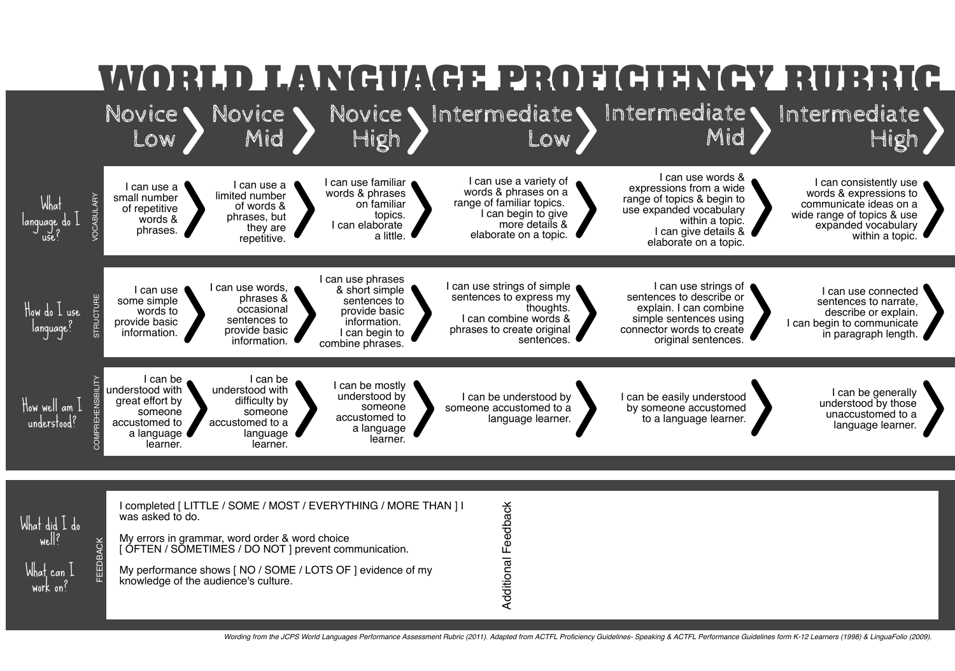I can use a variety of words & phrases on a range of familiar topics. I can begin to give more details & elaborate on a topic.



## WORLD LANGUAGE PROFICIENCY RUBRIC Novice \Intermediate \Intermediate \Intermediate High Mid / LOW /

I can use strings of simple sentences to express my thoughts. I can combine words & phrases to create original sentences.

> Additional FeedbackAdditional Feedback

Wording from the JCPS World Languages Performance Assessment Rubric (2011). Adapted from ACTFL Proficiency Guidelines- Speaking & ACTFL Performance Guidelines form K-12 Learners (1998) & LinguaFolio (2009).

I can be understood by someone accustomed to a language learner.

I can use words & expressions from a wide range of topics & begin to use expanded vocabulary within a topic. I can give details & elaborate on a topic.

I can use strings of sentences to describe or explain. I can combine simple sentences using connector words to create original sentences.

I can be easily understood by someone accustomed to a language learner.

I can consistently use words & expressions to communicate ideas on a wide range of topics & use expanded vocabulary within a topic.

I can use connected sentences to narrate, describe or explain. I can begin to communicate in paragraph length.

> I can be generally understood by those unaccustomed to a language learner.